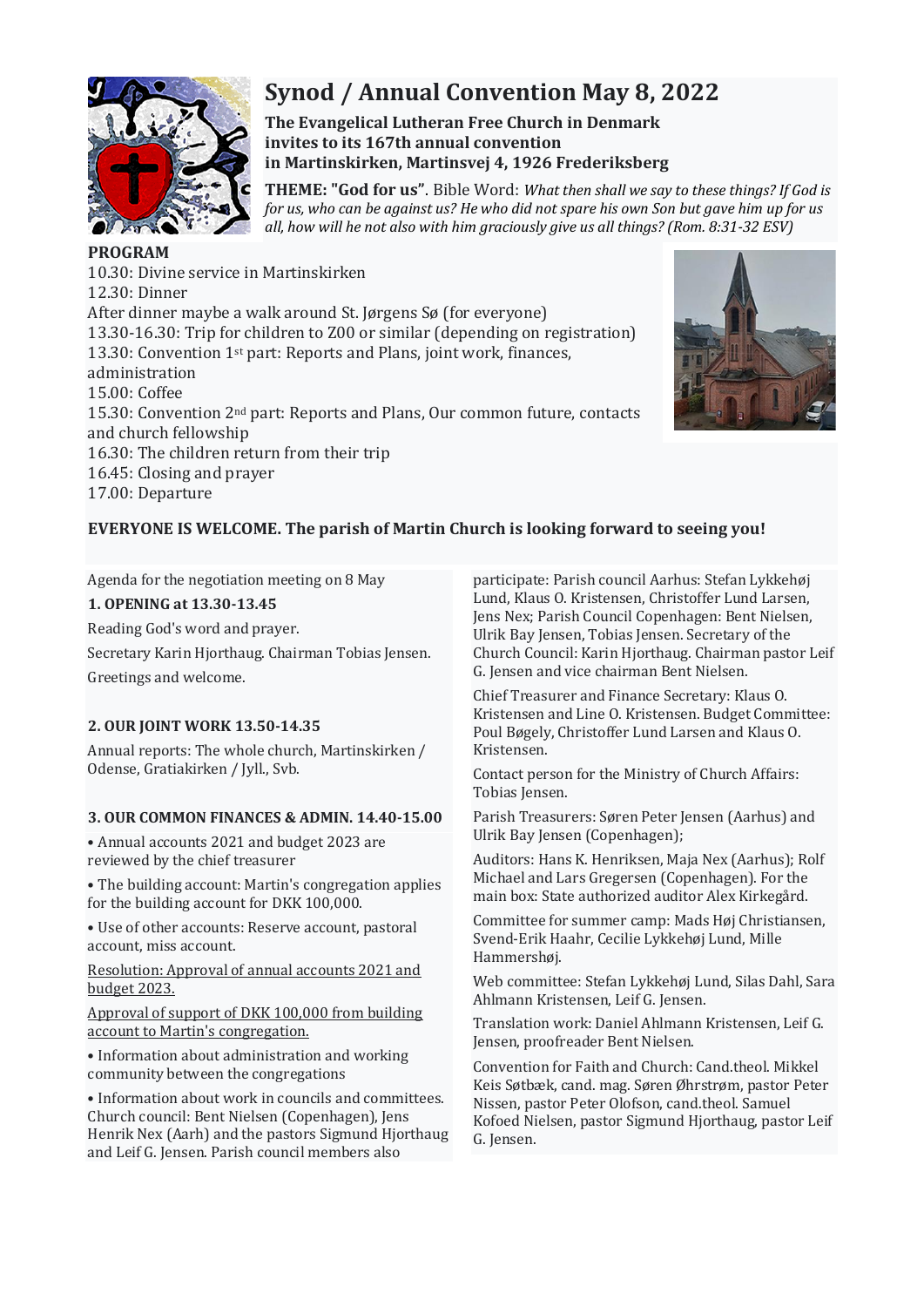

# **Synod / Annual Convention May 8, 2022**

**The Evangelical Lutheran Free Church in Denmark invites to its 167th annual convention in Martinskirken, Martinsvej 4, 1926 Frederiksberg**

**THEME: "God for us"**. Bible Word: *What then shall we say to these things? If God is for us, who can be against us? He who did not spare his own Son but gave him up for us all, how will he not also with him graciously give us all things? (Rom. 8:31-32 ESV)*

## **PROGRAM**

10.30: Divine service in Martinskirken 12.30: Dinner After dinner maybe a walk around St. Jørgens Sø (for everyone) 13.30-16.30: Trip for children to Z00 or similar (depending on registration) 13.30: Convention 1st part: Reports and Plans, joint work, finances, administration 15.00: Coffee 15.30: Convention 2nd part: Reports and Plans, Our common future, contacts and church fellowship 16.30: The children return from their trip 16.45: Closing and prayer 17.00: Departure



# **EVERYONE IS WELCOME. The parish of Martin Church is looking forward to seeing you!**

Agenda for the negotiation meeting on 8 May

## **1. OPENING at 13.30-13.45**

Reading God's word and prayer.

Secretary Karin Hjorthaug. Chairman Tobias Jensen. Greetings and welcome.

## **2. OUR JOINT WORK 13.50-14.35**

Annual reports: The whole church, Martinskirken / Odense, Gratiakirken / Jyll., Svb.

## **3. OUR COMMON FINANCES & ADMIN. 14.40-15.00**

• Annual accounts 2021 and budget 2023 are reviewed by the chief treasurer

• The building account: Martin's congregation applies for the building account for DKK 100,000.

• Use of other accounts: Reserve account, pastoral account, miss account.

Resolution: Approval of annual accounts 2021 and budget 2023.

Approval of support of DKK 100,000 from building account to Martin's congregation.

• Information about administration and working community between the congregations

• Information about work in councils and committees. Church council: Bent Nielsen (Copenhagen), Jens Henrik Nex (Aarh) and the pastors Sigmund Hjorthaug and Leif G. Jensen. Parish council members also

participate: Parish council Aarhus: Stefan Lykkehøj Lund, Klaus O. Kristensen, Christoffer Lund Larsen, Jens Nex; Parish Council Copenhagen: Bent Nielsen, Ulrik Bay Jensen, Tobias Jensen. Secretary of the Church Council: Karin Hjorthaug. Chairman pastor Leif G. Jensen and vice chairman Bent Nielsen.

Chief Treasurer and Finance Secretary: Klaus O. Kristensen and Line O. Kristensen. Budget Committee: Poul Bøgely, Christoffer Lund Larsen and Klaus O. Kristensen.

Contact person for the Ministry of Church Affairs: Tobias Jensen.

Parish Treasurers: Søren Peter Jensen (Aarhus) and Ulrik Bay Jensen (Copenhagen);

Auditors: Hans K. Henriksen, Maja Nex (Aarhus); Rolf Michael and Lars Gregersen (Copenhagen). For the main box: State authorized auditor Alex Kirkegård.

Committee for summer camp: Mads Høj Christiansen, Svend-Erik Haahr, Cecilie Lykkehøj Lund, Mille Hammershøj.

Web committee: Stefan Lykkehøj Lund, Silas Dahl, Sara Ahlmann Kristensen, Leif G. Jensen.

Translation work: Daniel Ahlmann Kristensen, Leif G. Jensen, proofreader Bent Nielsen.

Convention for Faith and Church: Cand.theol. Mikkel Keis Søtbæk, cand. mag. Søren Øhrstrøm, pastor Peter Nissen, pastor Peter Olofson, cand.theol. Samuel Kofoed Nielsen, pastor Sigmund Hjorthaug, pastor Leif G. Jensen.